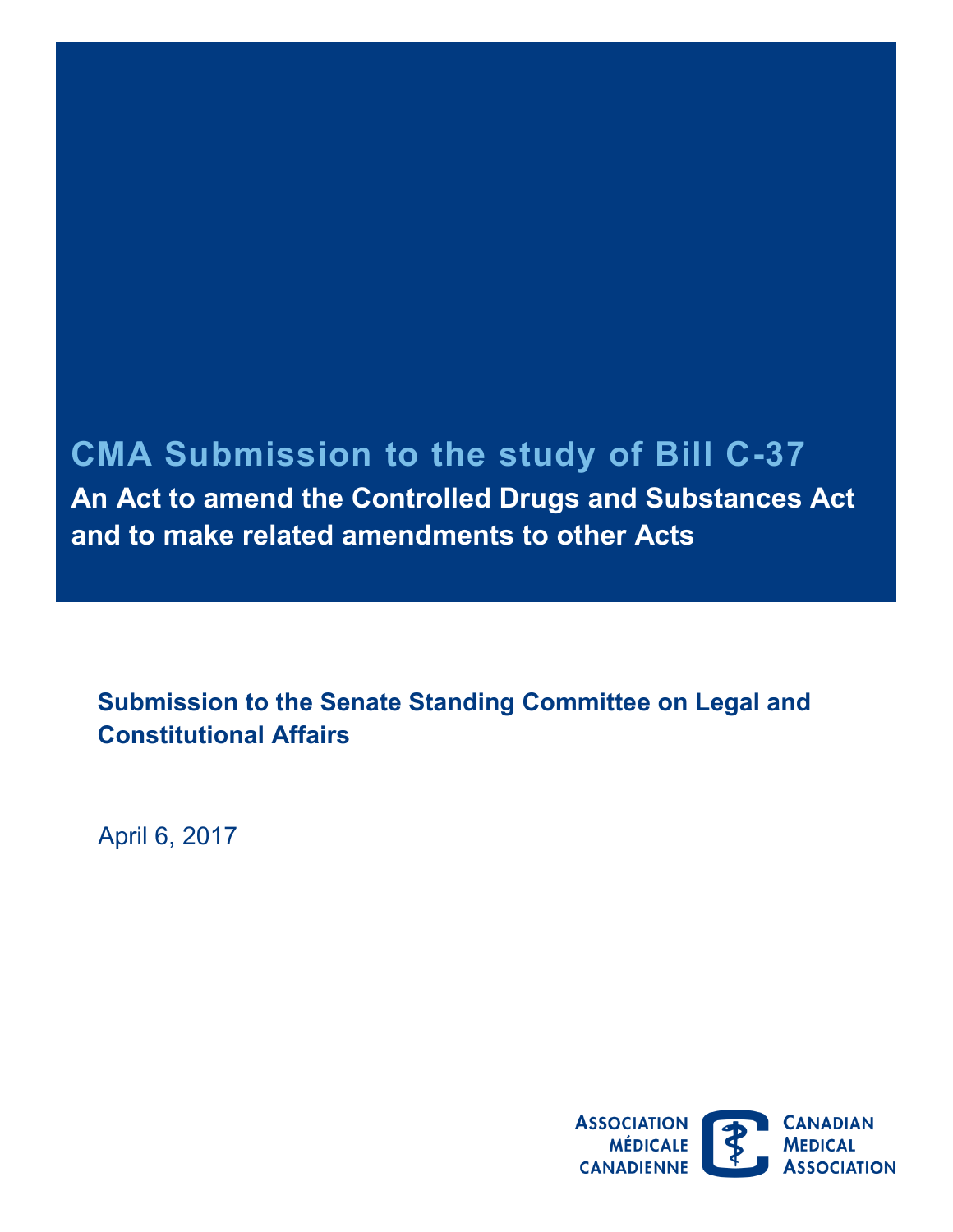## **CMA Submission to the study of Bill C -37**

**An Act to amend the Controlled Drugs and Substances Act and to make related amendments to other Acts** 

 **Submission to the Senate Standing Committee on Legal and Constitutional Affairs** 

April 6, 2017

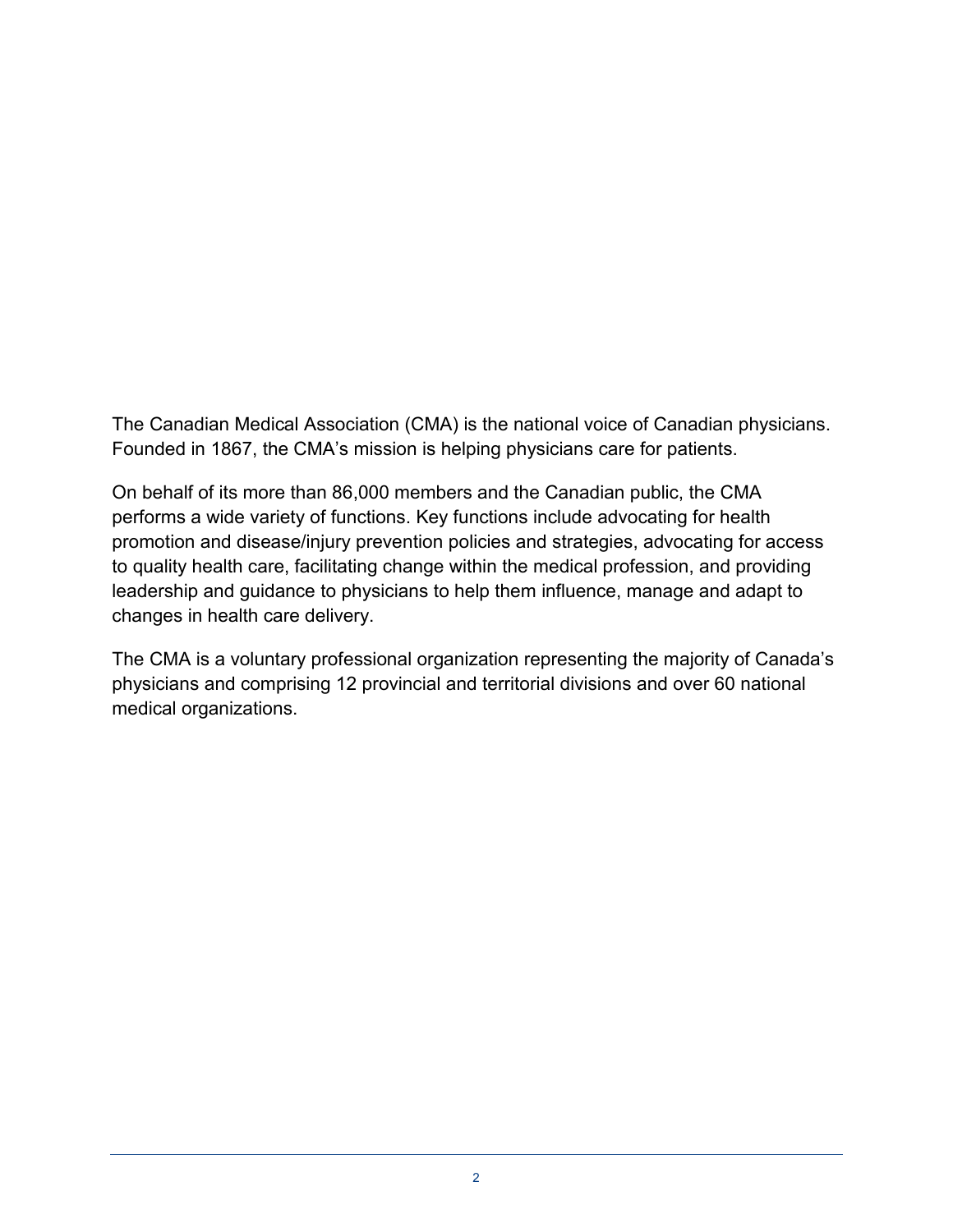Founded in 1867, the CMA's mission is helping physicians care for patients. The Canadian Medical Association (CMA) is the national voice of Canadian physicians.

On behalf of its more than 86,000 members and the Canadian public, the CMA performs a wide variety of functions. Key functions include advocating for health promotion and disease/injury prevention policies and strategies, advocating for access to quality health care, facilitating change within the medical profession, and providing leadership and guidance to physicians to help them influence, manage and adapt to changes in health care delivery.

The CMA is a voluntary professional organization representing the majority of Canada's physicians and comprising 12 provincial and territorial divisions and over 60 national medical organizations.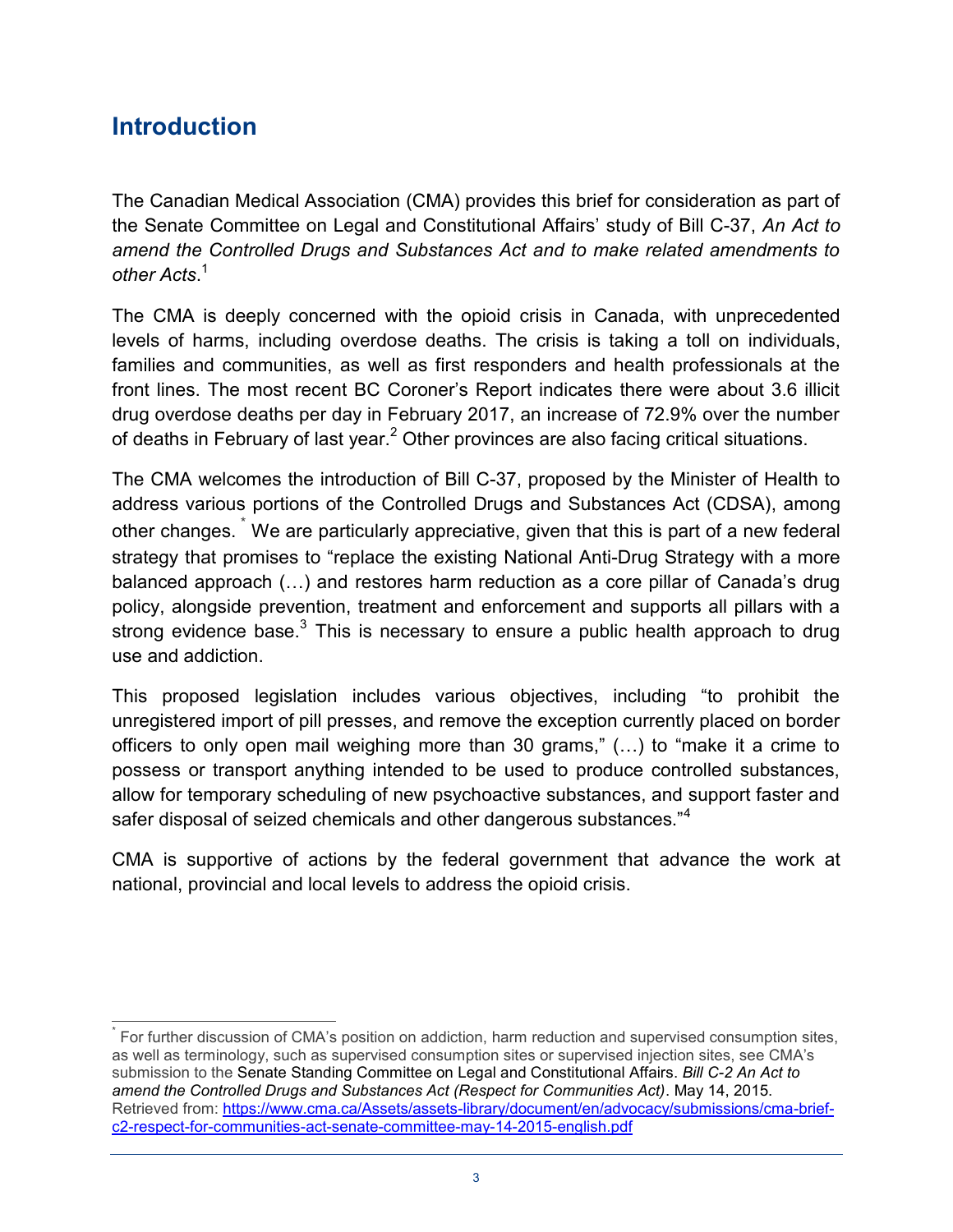## **Introduction**

 $\overline{a}$ 

The Canadian Medical Association (CMA) provides this brief for consideration as part of the Senate Committee on Legal and Constitutional Affairs' study of Bill C-37, *An Act to amend the Controlled Drugs and Substances Act and to make related amendments to other Acts*. [1](#page-5-0)

 The CMA is deeply concerned with the opioid crisis in Canada, with unprecedented levels of harms, including overdose deaths. The crisis is taking a toll on individuals, families and communities, as well as first responders and health professionals at the front lines. The most recent BC Coroner's Report indicates there were about 3.6 illicit drug overdose deaths per day in February 2017, an increase of 72.9% over the number of deaths in February of last year.<sup>2</sup> Other provinces are also facing critical situations.

The CMA welcomes the introduction of Bill C-37, proposed by the Minister of Health to address various portions of the Controlled Drugs and Substances Act (CDSA), among other changes.  $\degree$  We are particularly appreciative, given that this is part of a new federal strategy that promises to "replace the existing National Anti-Drug Strategy with a more balanced approach (…) and restores harm reduction as a core pillar of Canada's drug policy, alongside prevention, treatment and enforcement and supports all pillars with a strong evidence base.<sup>3</sup> This is necessary to ensure a public health approach to drug use and addiction.

This proposed legislation includes various objectives, including "to prohibit the unregistered import of pill presses, and remove the exception currently placed on border officers to only open mail weighing more than 30 grams," (…) to "make it a crime to possess or transport anything intended to be used to produce controlled substances, allow for temporary scheduling of new psychoactive substances, and support faster and safer disposal of seized chemicals and other dangerous substances."<sup>4</sup>

 CMA is supportive of actions by the federal government that advance the work at national, provincial and local levels to address the opioid crisis.

 submission to the Senate Standing Committee on Legal and Constitutional Affairs. *Bill C-2 An Act to*  For further discussion of CMA's position on addiction, harm reduction and supervised consumption sites, as well as terminology, such as supervised consumption sites or supervised injection sites, see CMA's *amend the Controlled Drugs and Substances Act (Respect for Communities Act)*. May 14, 2015. Retrieved from: https://www.cma.ca/Assets/assets-library/document/en/advocacy/submissions/cma-brief[c2-respect-for-communities-act-senate-committee-may-14-2015-english.pdf](https://www.cma.ca/Assets/assets-library/document/en/advocacy/submissions/cma-brief-c2-respect-for-communities-act-senate-committee-may-14-2015-english.pdf)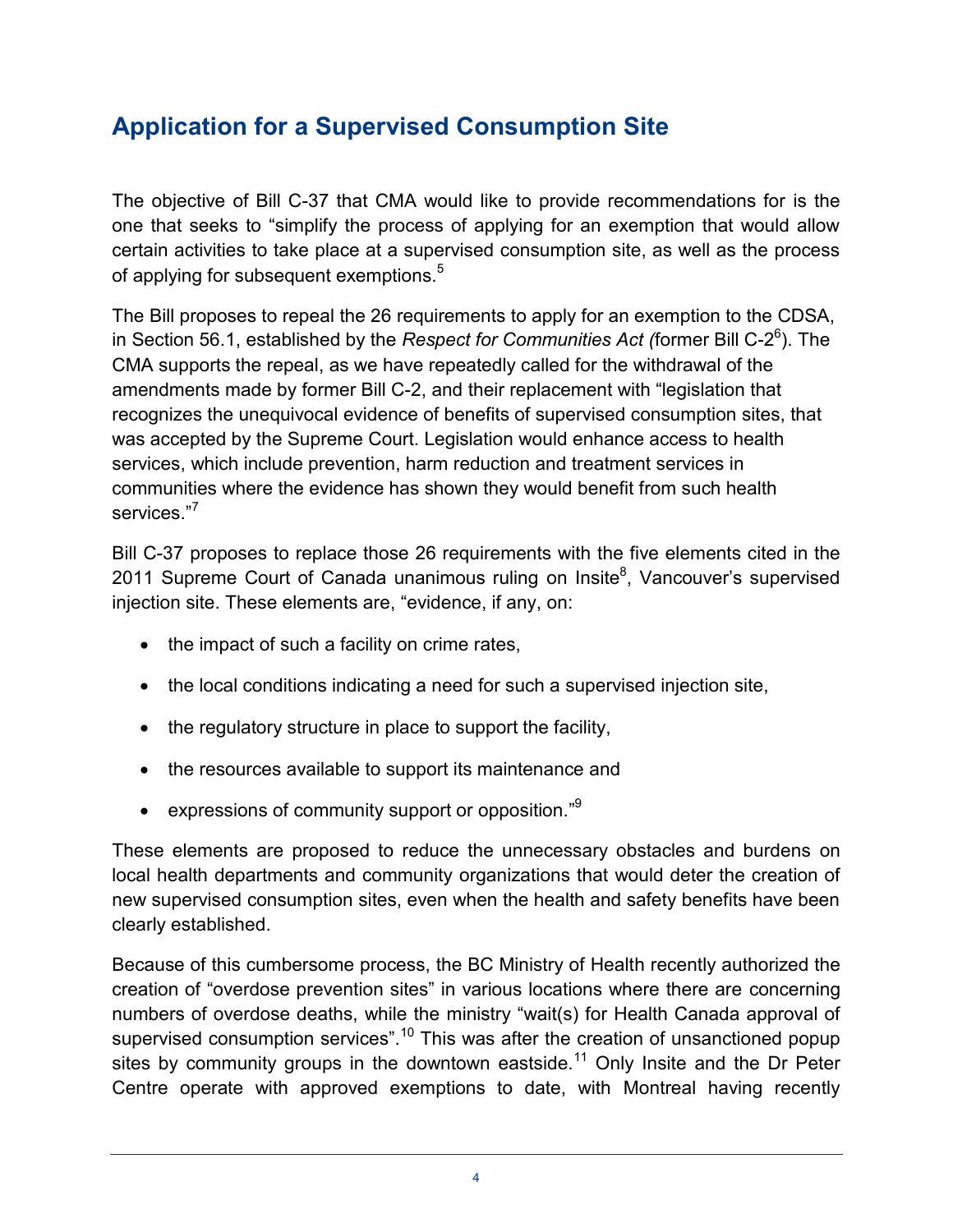## **Application for a Supervised Consumption Site**

 The objective of Bill C-37 that CMA would like to provide recommendations for is the one that seeks to "simplify the process of applying for an exemption that would allow certain activities to take place at a supervised consumption site, as well as the process of applying for subsequent exemptions.<sup>5</sup>

 The Bill proposes to repeal the 26 requirements to apply for an exemption to the CDSA, in Section 56.1, established by the *Respect for Communities Act (*former Bill C-2<sup>6</sup>). The services."<sup>7</sup> CMA supports the repeal, as we have repeatedly called for the withdrawal of the amendments made by former Bill C-2, and their replacement with "legislation that recognizes the unequivocal evidence of benefits of supervised consumption sites, that was accepted by the Supreme Court. Legislation would enhance access to health services, which include prevention, harm reduction and treatment services in communities where the evidence has shown they would benefit from such health

 Bill C-37 proposes to replace those 26 requirements with the five elements cited in the 2011 Supreme Court of Canada unanimous ruling on Insite<sup>8</sup>, Vancouver's supervised injection site. These elements are, "evidence, if any, on:

- the impact of such a facility on crime rates,
- the local conditions indicating a need for such a supervised injection site,
- the regulatory structure in place to support the facility,
- the resources available to support its maintenance and
- expressions of community support or opposition." $9$

 These elements are proposed to reduce the unnecessary obstacles and burdens on local health departments and community organizations that would deter the creation of new supervised consumption sites, even when the health and safety benefits have been clearly established.

Because of this cumbersome process, the BC Ministry of Health recently authorized the creation of "overdose prevention sites" in various locations where there are concerning numbers of overdose deaths, while the ministry "wait(s) for Health Canada approval of supervised consumption services".<sup>10</sup> This was after the creation of unsanctioned popup sites by community groups in the downtown eastside.<sup>11</sup> Only Insite and the Dr Peter Centre operate with approved exemptions to date, with Montreal having recently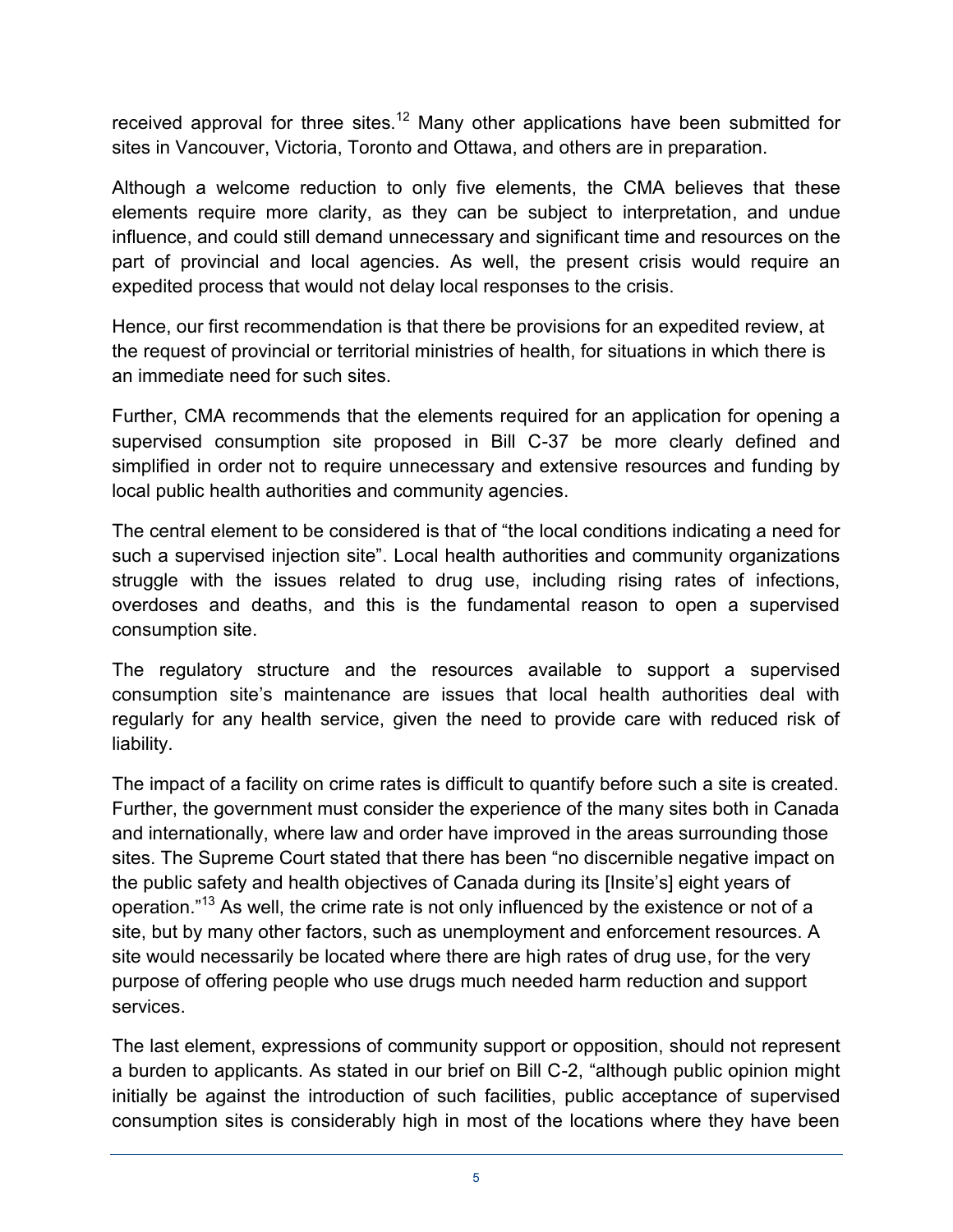received approval for three sites.<sup>12</sup> Many other applications have been submitted for sites in Vancouver, Victoria, Toronto and Ottawa, and others are in preparation.

 Although a welcome reduction to only five elements, the CMA believes that these elements require more clarity, as they can be subject to interpretation, and undue influence, and could still demand unnecessary and significant time and resources on the part of provincial and local agencies. As well, the present crisis would require an expedited process that would not delay local responses to the crisis.

Hence, our first recommendation is that there be provisions for an expedited review, at the request of provincial or territorial ministries of health, for situations in which there is an immediate need for such sites.

 Further, CMA recommends that the elements required for an application for opening a supervised consumption site proposed in Bill C-37 be more clearly defined and simplified in order not to require unnecessary and extensive resources and funding by local public health authorities and community agencies.

 The central element to be considered is that of "the local conditions indicating a need for such a supervised injection site". Local health authorities and community organizations struggle with the issues related to drug use, including rising rates of infections, overdoses and deaths, and this is the fundamental reason to open a supervised consumption site.

consumption site.<br>The regulatory structure and the resources available to support a supervised regularly for any health service, given the need to provide care with reduced risk of consumption site's maintenance are issues that local health authorities deal with liability.

 The impact of a facility on crime rates is difficult to quantify before such a site is created. operation."<sup>13</sup> As well, the crime rate is not only influenced by the existence or not of a site, but by many other factors, such as unemployment and enforcement resources. A Further, the government must consider the experience of the many sites both in Canada and internationally, where law and order have improved in the areas surrounding those sites. The Supreme Court stated that there has been "no discernible negative impact on the public safety and health objectives of Canada during its [Insite's] eight years of site would necessarily be located where there are high rates of drug use, for the very purpose of offering people who use drugs much needed harm reduction and support services.

 The last element, expressions of community support or opposition, should not represent a burden to applicants. As stated in our brief on Bill C-2, "although public opinion might initially be against the introduction of such facilities, public acceptance of supervised consumption sites is considerably high in most of the locations where they have been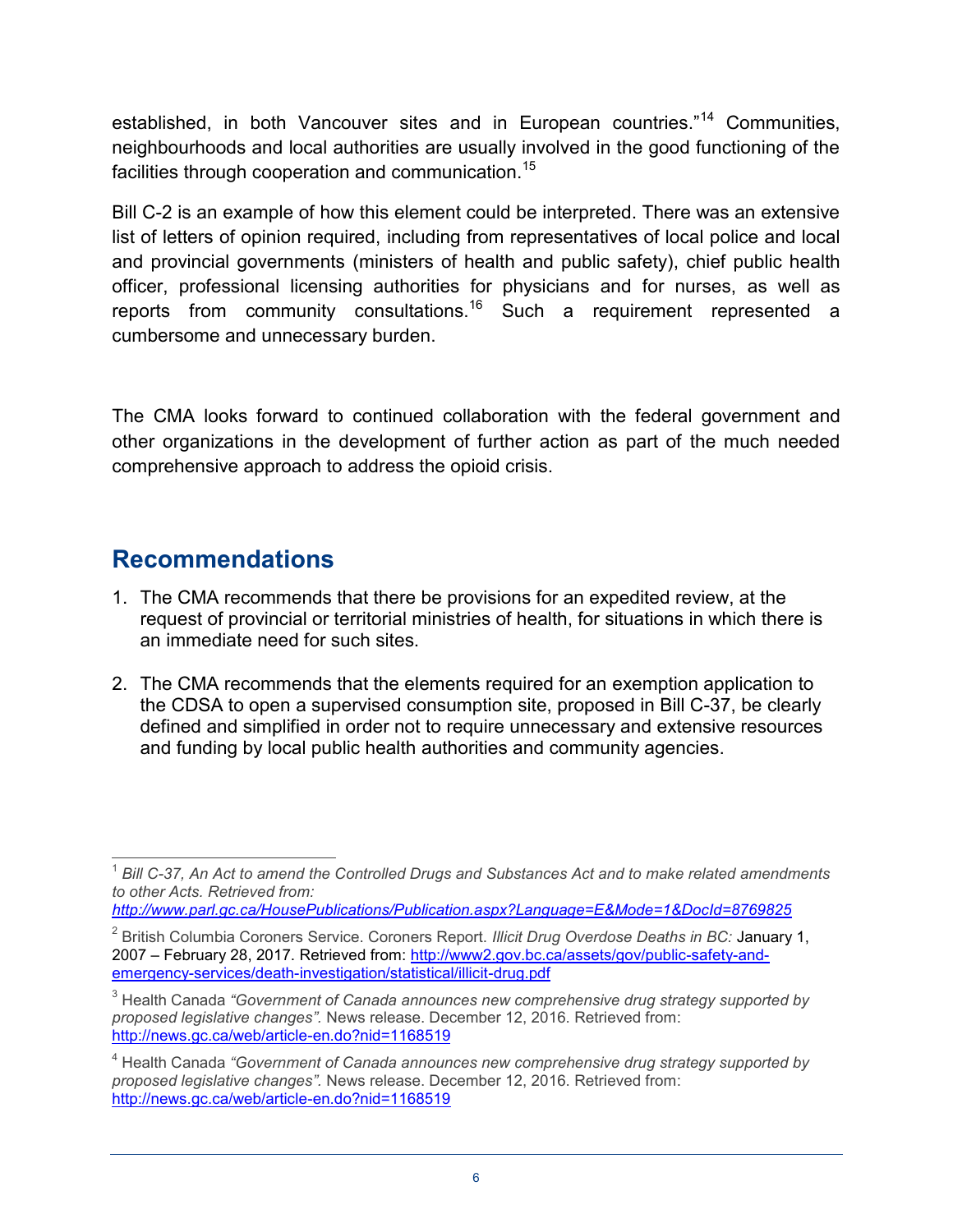neighbourhoods and local authorities are usually involved in the good functioning of the established, in both Vancouver sites and in European countries.<sup>"14</sup> Communities, facilities through cooperation and communication.<sup>15</sup>

Bill C-2 is an example of how this element could be interpreted. There was an extensive list of letters of opinion required, including from representatives of local police and local and provincial governments (ministers of health and public safety), chief public health officer, professional licensing authorities for physicians and for nurses, as well as reports from community consultations.<sup>16</sup> Such a requirement represented a cumbersome and unnecessary burden.

 The CMA looks forward to continued collaboration with the federal government and other organizations in the development of further action as part of the much needed comprehensive approach to address the opioid crisis.

## **Recommendations**

 $\overline{\phantom{a}}$ 

- 1. The CMA recommends that there be provisions for an expedited review, at the request of provincial or territorial ministries of health, for situations in which there is an immediate need for such sites.
- 2. The CMA recommends that the elements required for an exemption application to the CDSA to open a supervised consumption site, proposed in Bill C-37, be clearly defined and simplified in order not to require unnecessary and extensive resources and funding by local public health authorities and community agencies.

*<http://www.parl.gc.ca/HousePublications/Publication.aspx?Language=E&Mode=1&DocId=8769825>*

<span id="page-5-0"></span> $^1$  Bill C-37, An Act to amend the Controlled Drugs and Substances Act and to make related amendments  $^1$ *to other Acts. Retrieved from:* 

<span id="page-5-1"></span><sup>2</sup> British Columbia Coroners Service. Coroners Report. *Illicit Drug Overdose Deaths in BC:* January 1, 2007 – February 28, 2017. Retrieved from: [http://www2.gov.bc.ca/assets/gov/public-safety-and](http://www2.gov.bc.ca/assets/gov/public-safety-and-emergency-services/death-investigation/statistical/illicit-drug.pdf)[emergency-services/death-investigation/statistical/illicit-drug.pdf](http://www2.gov.bc.ca/assets/gov/public-safety-and-emergency-services/death-investigation/statistical/illicit-drug.pdf) 

<span id="page-5-2"></span>http://news.gc.ca/web/article-en.do?nid=1168519 3 Health Canada *"Government of Canada announces new comprehensive drug strategy supported by proposed legislative changes".* News release. December 12, 2016. Retrieved from:

<sup>&</sup>lt;sup>4</sup> Health Canada "Government of Canada announces new comprehensive drug strategy supported by *proposed legislative changes".* News release. December 12, 2016. Retrieved from: <http://news.gc.ca/web/article-en.do?nid=1168519>